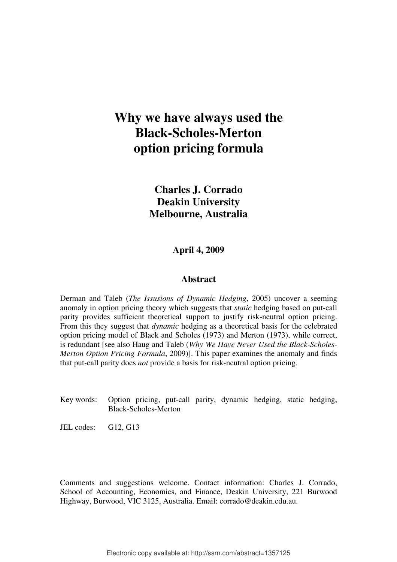# **Why we have always used the Black-Scholes-Merton option pricing formula**

**Charles J. Corrado Deakin University Melbourne, Australia** 

**April 4, 2009** 

### **Abstract**

Derman and Taleb (*The Issusions of Dynamic Hedging*, 2005) uncover a seeming anomaly in option pricing theory which suggests that *static* hedging based on put-call parity provides sufficient theoretical support to justify risk-neutral option pricing. From this they suggest that *dynamic* hedging as a theoretical basis for the celebrated option pricing model of Black and Scholes (1973) and Merton (1973), while correct, is redundant [see also Haug and Taleb (*Why We Have Never Used the Black-Scholes-Merton Option Pricing Formula*, 2009)]. This paper examines the anomaly and finds that put-call parity does *not* provide a basis for risk-neutral option pricing.

- Key words: Option pricing, put-call parity, dynamic hedging, static hedging, Black-Scholes-Merton
- JEL codes: G12, G13

Comments and suggestions welcome. Contact information: Charles J. Corrado, School of Accounting, Economics, and Finance, Deakin University, 221 Burwood Highway, Burwood, VIC 3125, Australia. Email: corrado@deakin.edu.au.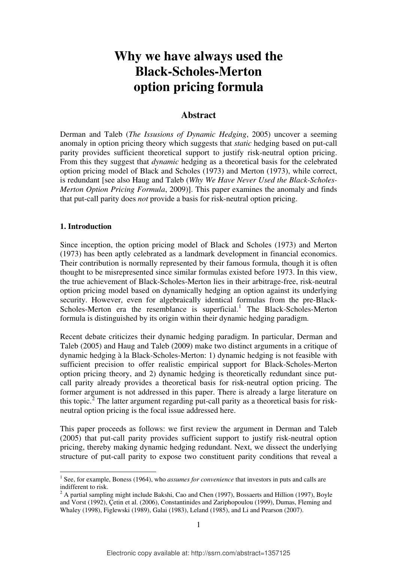# **Why we have always used the Black-Scholes-Merton option pricing formula**

## **Abstract**

Derman and Taleb (*The Issusions of Dynamic Hedging*, 2005) uncover a seeming anomaly in option pricing theory which suggests that *static* hedging based on put-call parity provides sufficient theoretical support to justify risk-neutral option pricing. From this they suggest that *dynamic* hedging as a theoretical basis for the celebrated option pricing model of Black and Scholes (1973) and Merton (1973), while correct, is redundant [see also Haug and Taleb (*Why We Have Never Used the Black-Scholes-Merton Option Pricing Formula*, 2009)]. This paper examines the anomaly and finds that put-call parity does *not* provide a basis for risk-neutral option pricing.

### **1. Introduction**

 $\overline{a}$ 

Since inception, the option pricing model of Black and Scholes (1973) and Merton (1973) has been aptly celebrated as a landmark development in financial economics. Their contribution is normally represented by their famous formula, though it is often thought to be misrepresented since similar formulas existed before 1973. In this view, the true achievement of Black-Scholes-Merton lies in their arbitrage-free, risk-neutral option pricing model based on dynamically hedging an option against its underlying security. However, even for algebraically identical formulas from the pre-Black-Scholes-Merton era the resemblance is superficial.<sup>[1](#page-1-0)</sup> The Black-Scholes-Merton formula is distinguished by its origin within their dynamic hedging paradigm.

Recent debate criticizes their dynamic hedging paradigm. In particular, Derman and Taleb (2005) and Haug and Taleb (2009) make two distinct arguments in a critique of dynamic hedging à la Black-Scholes-Merton: 1) dynamic hedging is not feasible with sufficient precision to offer realistic empirical support for Black-Scholes-Merton option pricing theory, and 2) dynamic hedging is theoretically redundant since putcall parity already provides a theoretical basis for risk-neutral option pricing. The former argument is not addressed in this paper. There is already a large literature on this topic.<sup>[2](#page-1-1)</sup> The latter argument regarding put-call parity as a theoretical basis for riskneutral option pricing is the focal issue addressed here.

This paper proceeds as follows: we first review the argument in Derman and Taleb (2005) that put-call parity provides sufficient support to justify risk-neutral option pricing, thereby making dynamic hedging redundant. Next, we dissect the underlying structure of put-call parity to expose two constituent parity conditions that reveal a

<span id="page-1-0"></span><sup>&</sup>lt;sup>1</sup> See, for example, Boness (1964), who *assumes for convenience* that investors in puts and calls are indifferent to risk.

<span id="page-1-1"></span> $2^2$  A partial sampling might include Bakshi, Cao and Chen (1997), Bossaerts and Hillion (1997), Boyle and Vorst (1992), Çetin et al. (2006), Constantinides and Zariphopoulou (1999), Dumas, Fleming and Whaley (1998), Figlewski (1989), Galai (1983), Leland (1985), and Li and Pearson (2007).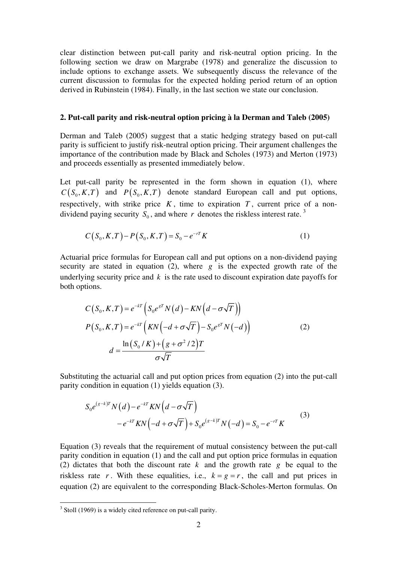clear distinction between put-call parity and risk-neutral option pricing. In the following section we draw on Margrabe (1978) and generalize the discussion to include options to exchange assets. We subsequently discuss the relevance of the current discussion to formulas for the expected holding period return of an option derived in Rubinstein (1984). Finally, in the last section we state our conclusion.

#### **2. Put-call parity and risk-neutral option pricing à la Derman and Taleb (2005)**

Derman and Taleb (2005) suggest that a static hedging strategy based on put-call parity is sufficient to justify risk-neutral option pricing. Their argument challenges the importance of the contribution made by Black and Scholes (1973) and Merton (1973) and proceeds essentially as presented immediately below.

Let put-call parity be represented in the form shown in equation (1), where  $C(S_0, K, T)$  and  $P(S_0, K, T)$  denote standard European call and put options, respectively, with strike price  $K$ , time to expiration  $T$ , current price of a nondividend paying security  $S_0$ , and where *r* denotes the riskless interest rate.<sup>[3](#page-2-0)</sup>

$$
C(S_0, K, T) - P(S_0, K, T) = S_0 - e^{-rT} K
$$
\n(1)

Actuarial price formulas for European call and put options on a non-dividend paying security are stated in equation  $(2)$ , where  $g$  is the expected growth rate of the underlying security price and  $k$  is the rate used to discount expiration date payoffs for both options.

$$
C(S_0, K, T) = e^{-kT} \left( S_0 e^{sT} N(d) - KN\left(d - \sigma\sqrt{T}\right) \right)
$$
  
\n
$$
P(S_0, K, T) = e^{-kT} \left( KN\left(-d + \sigma\sqrt{T}\right) - S_0 e^{sT} N\left(-d\right) \right)
$$
  
\n
$$
d = \frac{\ln(S_0/K) + \left(g + \sigma^2/2\right)T}{\sigma\sqrt{T}}
$$
\n(2)

Substituting the actuarial call and put option prices from equation (2) into the put-call parity condition in equation (1) yields equation (3).

$$
S_0 e^{(s-k)T} N(d) - e^{-kT} K N\left(d - \sigma \sqrt{T}\right)
$$
  
-  $e^{-kT} K N\left(-d + \sigma \sqrt{T}\right) + S_0 e^{(s-k)T} N(-d) = S_0 - e^{-rT} K$  (3)

Equation (3) reveals that the requirement of mutual consistency between the put-call parity condition in equation (1) and the call and put option price formulas in equation (2) dictates that both the discount rate  $k$  and the growth rate  $g$  be equal to the riskless rate r. With these equalities, i.e.,  $k = g = r$ , the call and put prices in equation (2) are equivalent to the corresponding Black-Scholes-Merton formulas. On

<span id="page-2-0"></span><sup>&</sup>lt;sup>3</sup> Stoll (1969) is a widely cited reference on put-call parity.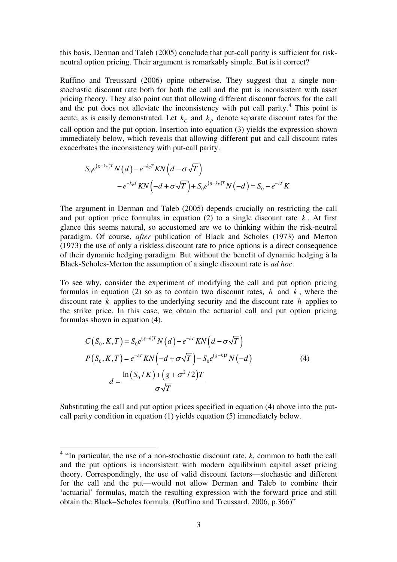this basis, Derman and Taleb (2005) conclude that put-call parity is sufficient for riskneutral option pricing. Their argument is remarkably simple. But is it correct?

Ruffino and Treussard (2006) opine otherwise. They suggest that a single nonstochastic discount rate both for both the call and the put is inconsistent with asset pricing theory. They also point out that allowing different discount factors for the call and the put does not alleviate the inconsistency with put call parity.<sup>[4](#page-3-0)</sup> This point is acute, as is easily demonstrated. Let  $k_c$  and  $k_p$  denote separate discount rates for the call option and the put option. Insertion into equation (3) yields the expression shown immediately below, which reveals that allowing different put and call discount rates exacerbates the inconsistency with put-call parity.

$$
S_0 e^{(g-k_C)T} N(d) - e^{-k_C T} K N\left(d - \sigma\sqrt{T}\right)
$$
  
-  $e^{-k_P T} K N\left(-d + \sigma\sqrt{T}\right) + S_0 e^{(g-k_P)T} N(-d) = S_0 - e^{-rT} K$ 

The argument in Derman and Taleb (2005) depends crucially on restricting the call and put option price formulas in equation  $(2)$  to a single discount rate  $k$ . At first glance this seems natural, so accustomed are we to thinking within the risk-neutral paradigm. Of course, *after* publication of Black and Scholes (1973) and Merton (1973) the use of only a riskless discount rate to price options is a direct consequence of their dynamic hedging paradigm. But without the benefit of dynamic hedging à la Black-Scholes-Merton the assumption of a single discount rate is *ad hoc*.

To see why, consider the experiment of modifying the call and put option pricing formulas in equation (2) so as to contain two discount rates,  $h$  and  $k$ , where the discount rate  $k$  applies to the underlying security and the discount rate  $h$  applies to the strike price. In this case, we obtain the actuarial call and put option pricing formulas shown in equation (4).

$$
C(S_0, K, T) = S_0 e^{(g-k)T} N(d) - e^{-hT} KN\left(d - \sigma\sqrt{T}\right)
$$
  
\n
$$
P(S_0, K, T) = e^{-hT} KN\left(-d + \sigma\sqrt{T}\right) - S_0 e^{(g-k)T} N(-d)
$$
  
\n
$$
d = \frac{\ln(S_0/K) + (g + \sigma^2/2)T}{\sigma\sqrt{T}}
$$
\n(4)

Substituting the call and put option prices specified in equation (4) above into the putcall parity condition in equation (1) yields equation (5) immediately below.

<span id="page-3-0"></span> 4 "In particular, the use of a non-stochastic discount rate, *k*, common to both the call and the put options is inconsistent with modern equilibrium capital asset pricing theory. Correspondingly, the use of valid discount factors—stochastic and different for the call and the put—would not allow Derman and Taleb to combine their 'actuarial' formulas, match the resulting expression with the forward price and still obtain the Black–Scholes formula. (Ruffino and Treussard, 2006, p.366)"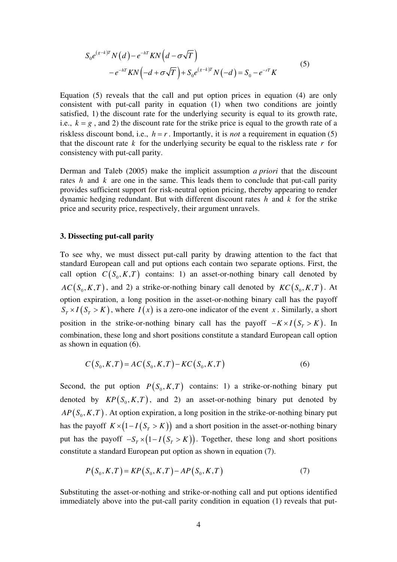$$
S_0 e^{(s-k)T} N(d) - e^{-hT} K N\left(d - \sigma \sqrt{T}\right)
$$
  
-  $e^{-hT} K N\left(-d + \sigma \sqrt{T}\right) + S_0 e^{(s-k)T} N(-d) = S_0 - e^{-rT} K$  (5)

Equation (5) reveals that the call and put option prices in equation (4) are only consistent with put-call parity in equation (1) when two conditions are jointly satisfied, 1) the discount rate for the underlying security is equal to its growth rate, i.e.,  $k = g$ , and 2) the discount rate for the strike price is equal to the growth rate of a riskless discount bond, i.e.,  $h = r$ . Importantly, it is *not* a requirement in equation (5) that the discount rate  $k$  for the underlying security be equal to the riskless rate  $r$  for consistency with put-call parity.

Derman and Taleb (2005) make the implicit assumption *a priori* that the discount rates  $h$  and  $k$  are one in the same. This leads them to conclude that put-call parity provides sufficient support for risk-neutral option pricing, thereby appearing to render dynamic hedging redundant. But with different discount rates  $h$  and  $k$  for the strike price and security price, respectively, their argument unravels.

#### **3. Dissecting put-call parity**

To see why, we must dissect put-call parity by drawing attention to the fact that standard European call and put options each contain two separate options. First, the call option  $C(S_0, K, T)$  contains: 1) an asset-or-nothing binary call denoted by  $AC(S_0, K, T)$ , and 2) a strike-or-nothing binary call denoted by  $KC(S_0, K, T)$ . At option expiration, a long position in the asset-or-nothing binary call has the payoff  $S_{\tau} \times I(S_{\tau} > K)$ , where  $I(x)$  is a zero-one indicator of the event *x*. Similarly, a short position in the strike-or-nothing binary call has the payoff  $-K \times I(S_T > K)$ . In combination, these long and short positions constitute a standard European call option as shown in equation (6).

$$
C(S_0, K, T) = AC(S_0, K, T) - KC(S_0, K, T)
$$
\n(6)

Second, the put option  $P(S_0, K, T)$  contains: 1) a strike-or-nothing binary put denoted by  $\mathit{KP}(S_0, K, T)$ , and 2) an asset-or-nothing binary put denoted by  $AP(S_0, K, T)$ . At option expiration, a long position in the strike-or-nothing binary put has the payoff  $K \times (1 - I(S_T > K))$  and a short position in the asset-or-nothing binary put has the payoff  $-S_T \times (1 - I(S_T > K))$ . Together, these long and short positions constitute a standard European put option as shown in equation (7).

$$
P(S_0, K, T) = KP(S_0, K, T) - AP(S_0, K, T)
$$
\n(7)

Substituting the asset-or-nothing and strike-or-nothing call and put options identified immediately above into the put-call parity condition in equation (1) reveals that put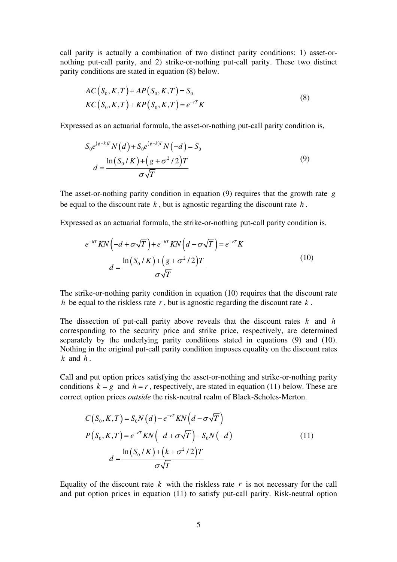call parity is actually a combination of two distinct parity conditions: 1) asset-ornothing put-call parity, and 2) strike-or-nothing put-call parity. These two distinct parity conditions are stated in equation (8) below.

$$
AC(S_0, K, T) + AP(S_0, K, T) = S_0
$$
  
\n
$$
KC(S_0, K, T) + KP(S_0, K, T) = e^{-rT} K
$$
\n(8)

Expressed as an actuarial formula, the asset-or-nothing put-call parity condition is,

$$
S_0 e^{(s-k)T} N(d) + S_0 e^{(s-k)T} N(-d) = S_0
$$
  

$$
d = \frac{\ln(S_0/K) + (g + \sigma^2/2)T}{\sigma\sqrt{T}}
$$
(9)

The asset-or-nothing parity condition in equation (9) requires that the growth rate *g* be equal to the discount rate  $k$ , but is agnostic regarding the discount rate  $h$ .

Expressed as an actuarial formula, the strike-or-nothing put-call parity condition is,

$$
e^{-hT}KN\left(-d+\sigma\sqrt{T}\right)+e^{-hT}KN\left(d-\sigma\sqrt{T}\right)=e^{-rT}K
$$

$$
d=\frac{\ln\left(S_0/K\right)+\left(g+\sigma^2/2\right)T}{\sigma\sqrt{T}}
$$
(10)

The strike-or-nothing parity condition in equation (10) requires that the discount rate *h* be equal to the riskless rate *r* , but is agnostic regarding the discount rate *k* .

The dissection of put-call parity above reveals that the discount rates  $k$  and  $h$ corresponding to the security price and strike price, respectively, are determined separately by the underlying parity conditions stated in equations (9) and (10). Nothing in the original put-call parity condition imposes equality on the discount rates  $k$  and  $h$ .

Call and put option prices satisfying the asset-or-nothing and strike-or-nothing parity conditions  $k = g$  and  $h = r$ , respectively, are stated in equation (11) below. These are correct option prices *outside* the risk-neutral realm of Black-Scholes-Merton.

$$
C(S_0, K, T) = S_0 N(d) - e^{-rT} KN(d - \sigma \sqrt{T})
$$
  
\n
$$
P(S_0, K, T) = e^{-rT} KN(-d + \sigma \sqrt{T}) - S_0 N(-d)
$$
  
\n
$$
d = \frac{\ln(S_0/K) + (k + \sigma^2/2)T}{\sigma \sqrt{T}}
$$
\n(11)

Equality of the discount rate  $k$  with the riskless rate  $r$  is not necessary for the call and put option prices in equation (11) to satisfy put-call parity. Risk-neutral option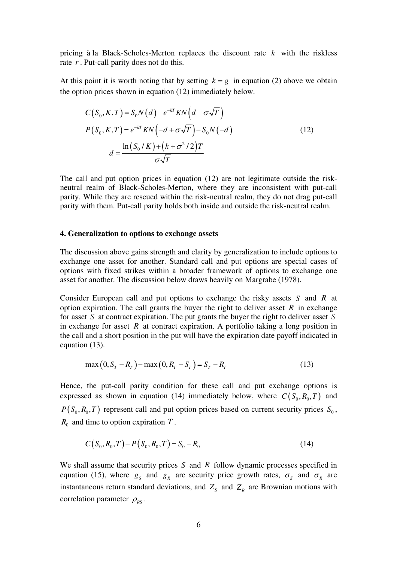pricing  $\hat{a}$  la Black-Scholes-Merton replaces the discount rate  $k$  with the riskless rate *r* . Put-call parity does not do this.

At this point it is worth noting that by setting  $k = g$  in equation (2) above we obtain the option prices shown in equation (12) immediately below.

$$
C(S_0, K, T) = S_0 N(d) - e^{-kT} KN\left(d - \sigma\sqrt{T}\right)
$$
  
\n
$$
P(S_0, K, T) = e^{-kT} KN\left(-d + \sigma\sqrt{T}\right) - S_0 N(-d)
$$
  
\n
$$
d = \frac{\ln(S_0/K) + \left(k + \sigma^2/2\right)T}{\sigma\sqrt{T}}
$$
\n(12)

The call and put option prices in equation (12) are not legitimate outside the riskneutral realm of Black-Scholes-Merton, where they are inconsistent with put-call parity. While they are rescued within the risk-neutral realm, they do not drag put-call parity with them. Put-call parity holds both inside and outside the risk-neutral realm.

#### **4. Generalization to options to exchange assets**

The discussion above gains strength and clarity by generalization to include options to exchange one asset for another. Standard call and put options are special cases of options with fixed strikes within a broader framework of options to exchange one asset for another. The discussion below draws heavily on Margrabe (1978).

Consider European call and put options to exchange the risky assets  $S$  and  $R$  at option expiration. The call grants the buyer the right to deliver asset  $R$  in exchange for asset S at contract expiration. The put grants the buyer the right to deliver asset S in exchange for asset  $R$  at contract expiration. A portfolio taking a long position in the call and a short position in the put will have the expiration date payoff indicated in equation (13).

$$
\max(0, S_T - R_T) - \max(0, R_T - S_T) = S_T - R_T \tag{13}
$$

Hence, the put-call parity condition for these call and put exchange options is expressed as shown in equation (14) immediately below, where  $C(S_0, R_0, T)$  and  $P(S_0, R_0, T)$  represent call and put option prices based on current security prices  $S_0$ ,  $R_0$  and time to option expiration  $T$ .

$$
C(S_0, R_0, T) - P(S_0, R_0, T) = S_0 - R_0
$$
\n(14)

We shall assume that security prices  $S$  and  $R$  follow dynamic processes specified in equation (15), where  $g_s$  and  $g_R$  are security price growth rates,  $\sigma_s$  and  $\sigma_R$  are instantaneous return standard deviations, and  $Z_s$  and  $Z_R$  are Brownian motions with correlation parameter  $\rho_{RS}$ .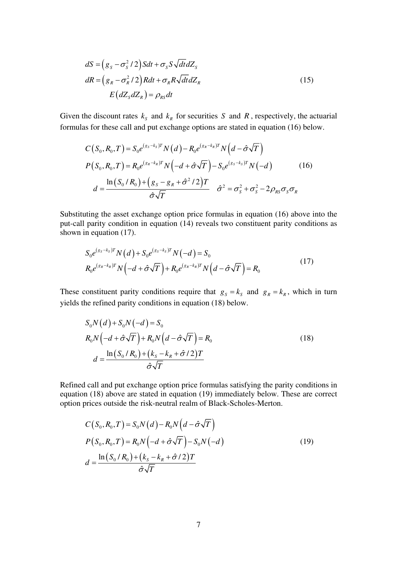$$
dS = (g_s - \sigma_s^2 / 2) Sdt + \sigma_s S \sqrt{dt} dZ_s
$$
  
\n
$$
dR = (g_R - \sigma_R^2 / 2) Rdt + \sigma_R R \sqrt{dt} dZ_R
$$
  
\n
$$
E(dZ_s dZ_R) = \rho_{RS} dt
$$
\n(15)

Given the discount rates  $k_s$  and  $k_R$  for securities S and R, respectively, the actuarial formulas for these call and put exchange options are stated in equation (16) below.

$$
C(S_0, R_0, T) = S_0 e^{(g_S - k_S)T} N(d) - R_0 e^{(g_R - k_R)T} N(d - \hat{\sigma} \sqrt{T})
$$
  
\n
$$
P(S_0, R_0, T) = R_0 e^{(g_R - k_R)T} N(-d + \hat{\sigma} \sqrt{T}) - S_0 e^{(g_S - k_S)T} N(-d)
$$
  
\n
$$
d = \frac{\ln(S_0/R_0) + (g_S - g_R + \hat{\sigma}^2 / 2)T}{\hat{\sigma} \sqrt{T}} \hat{\sigma}^2 = \sigma_S^2 + \sigma_S^2 - 2\rho_{RS} \sigma_S \sigma_R
$$
 (16)

Substituting the asset exchange option price formulas in equation (16) above into the put-call parity condition in equation (14) reveals two constituent parity conditions as shown in equation (17).

$$
S_0 e^{(g_s - k_s)T} N(d) + S_0 e^{(g_s - k_s)T} N(-d) = S_0
$$
  
\n
$$
R_0 e^{(g_R - k_R)T} N(-d + \hat{\sigma} \sqrt{T}) + R_0 e^{(g_R - k_R)T} N(d - \hat{\sigma} \sqrt{T}) = R_0
$$
\n(17)

These constituent parity conditions require that  $g_s = k_s$  and  $g_R = k_R$ , which in turn yields the refined parity conditions in equation (18) below.

$$
S_0 N(d) + S_0 N(-d) = S_0
$$
  
\n
$$
R_0 N(-d + \hat{\sigma} \sqrt{T}) + R_0 N(d - \hat{\sigma} \sqrt{T}) = R_0
$$
  
\n
$$
d = \frac{\ln(S_0 / R_0) + (k_s - k_R + \hat{\sigma} / 2)T}{\hat{\sigma} \sqrt{T}}
$$
\n(18)

Refined call and put exchange option price formulas satisfying the parity conditions in equation (18) above are stated in equation (19) immediately below. These are correct option prices outside the risk-neutral realm of Black-Scholes-Merton.

$$
C(S_0, R_0, T) = S_0 N(d) - R_0 N\left(d - \hat{\sigma}\sqrt{T}\right)
$$
  
\n
$$
P(S_0, R_0, T) = R_0 N\left(-d + \hat{\sigma}\sqrt{T}\right) - S_0 N(-d)
$$
  
\n
$$
d = \frac{\ln(S_0/R_0) + (k_s - k_R + \hat{\sigma}/2)T}{\hat{\sigma}\sqrt{T}}
$$
\n(19)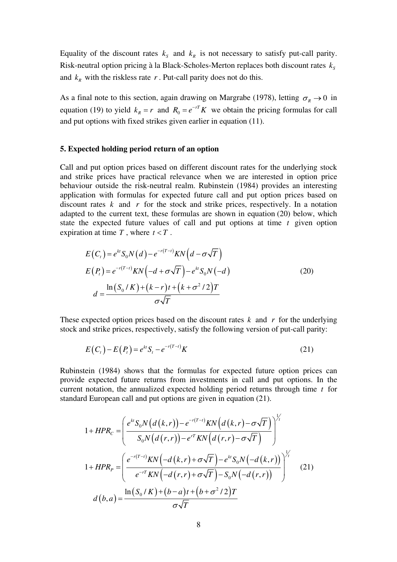Equality of the discount rates  $k_s$  and  $k_R$  is not necessary to satisfy put-call parity. Risk-neutral option pricing à la Black-Scholes-Merton replaces both discount rates  $k_s$ and  $k_R$  with the riskless rate  $r$ . Put-call parity does not do this.

As a final note to this section, again drawing on Margrabe (1978), letting  $\sigma_R \to 0$  in equation (19) to yield  $k_R = r$  and  $R_0 = e^{-rT} K$  we obtain the pricing formulas for call and put options with fixed strikes given earlier in equation (11).

#### **5. Expected holding period return of an option**

Call and put option prices based on different discount rates for the underlying stock and strike prices have practical relevance when we are interested in option price behaviour outside the risk-neutral realm. Rubinstein (1984) provides an interesting application with formulas for expected future call and put option prices based on discount rates  $k$  and  $r$  for the stock and strike prices, respectively. In a notation adapted to the current text, these formulas are shown in equation (20) below, which state the expected future values of call and put options at time *t* given option expiration at time  $T$ , where  $t < T$ .

$$
E(Ct) = ektS0N(d) - e-r(T-t)KN(d - \sigma\sqrt{T})
$$
  
\n
$$
E(Pt) = e-r(T-t)KN(-d + \sigma\sqrt{T}) - ektS0N(-d)
$$
  
\n
$$
d = \frac{\ln(S_0/K) + (k-r)t + (k+\sigma^2/2)T}{\sigma\sqrt{T}}
$$
\n(20)

These expected option prices based on the discount rates  $k$  and  $r$  for the underlying stock and strike prices, respectively, satisfy the following version of put-call parity:

$$
E(Ct) - E(Pt) = ekt St - e-r(T-t) K
$$
\n(21)

Rubinstein (1984) shows that the formulas for expected future option prices can provide expected future returns from investments in call and put options. In the current notation, the annualized expected holding period returns through time  $t$  for standard European call and put options are given in equation (21).

$$
1 + HPR_c = \left(\frac{e^{kt}S_0N(d(k,r)) - e^{-r(T-t)}KN(d(k,r) - \sigma\sqrt{T})}{S_0N(d(r,r)) - e^{rT}KN(d(r,r) - \sigma\sqrt{T})}\right)^{\frac{1}{r}}
$$
  

$$
1 + HPR_p = \left(\frac{e^{-r(T-t)}KN(-d(k,r) + \sigma\sqrt{T}) - e^{kt}S_0N(-d(k,r))}{e^{-rT}KN(-d(r,r) + \sigma\sqrt{T}) - S_0N(-d(r,r))}\right)^{\frac{1}{r}}
$$
(21)  

$$
d(b,a) = \frac{\ln(S_0/K) + (b-a)t + (b+\sigma^2/2)T}{\sigma\sqrt{T}}
$$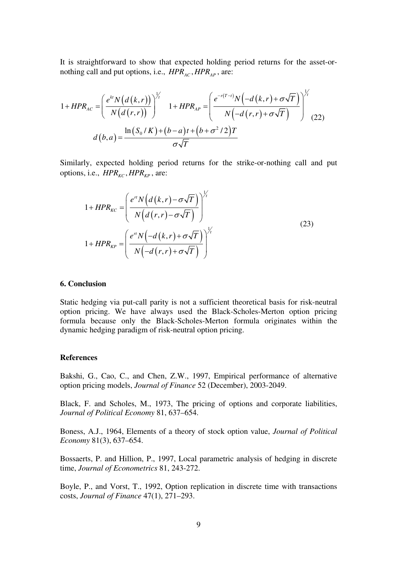It is straightforward to show that expected holding period returns for the asset-ornothing call and put options, i.e.,  $HPR_{AC}$ ,  $HPR_{AP}$ , are:

$$
1 + HPR_{AC} = \left(\frac{e^{kt} N (d (k, r))}{N (d (r, r))}\right)^{\frac{1}{r}} \quad 1 + HPR_{AP} = \left(\frac{e^{-r(T-t)} N \left(-d (k, r) + \sigma \sqrt{T}\right)}{N \left(-d (r, r) + \sigma \sqrt{T}\right)}\right)^{\frac{1}{r}}
$$
\n
$$
d (b, a) = \frac{\ln (S_0 / K) + (b - a)t + (b + \sigma^2 / 2)T}{\sigma \sqrt{T}}
$$
\n(22)

Similarly, expected holding period returns for the strike-or-nothing call and put options, i.e.,  $HPR_{KC}$ ,  $HPR_{KP}$ , are:

$$
1 + HPR_{kc} = \left(\frac{e^{rt}N\left(d\left(k,r\right) - \sigma\sqrt{T}\right)}{N\left(d\left(r,r\right) - \sigma\sqrt{T}\right)}\right)^{\frac{1}{\gamma}}
$$
  

$$
1 + HPR_{kp} = \left(\frac{e^{rt}N\left(-d\left(k,r\right) + \sigma\sqrt{T}\right)}{N\left(-d\left(r,r\right) + \sigma\sqrt{T}\right)}\right)^{\frac{1}{\gamma}}
$$
(23)

#### **6. Conclusion**

Static hedging via put-call parity is not a sufficient theoretical basis for risk-neutral option pricing. We have always used the Black-Scholes-Merton option pricing formula because only the Black-Scholes-Merton formula originates within the dynamic hedging paradigm of risk-neutral option pricing.

#### **References**

Bakshi, G., Cao, C., and Chen, Z.W., 1997, Empirical performance of alternative option pricing models, *Journal of Finance* 52 (December), 2003-2049.

Black, F. and Scholes, M., 1973, The pricing of options and corporate liabilities, *Journal of Political Economy* 81, 637–654.

Boness, A.J., 1964, Elements of a theory of stock option value, *Journal of Political Economy* 81(3), 637–654.

Bossaerts, P. and Hillion, P., 1997, Local parametric analysis of hedging in discrete time, *Journal of Econometrics* 81, 243-272.

Boyle, P., and Vorst, T., 1992, Option replication in discrete time with transactions costs, *Journal of Finance* 47(1), 271–293.